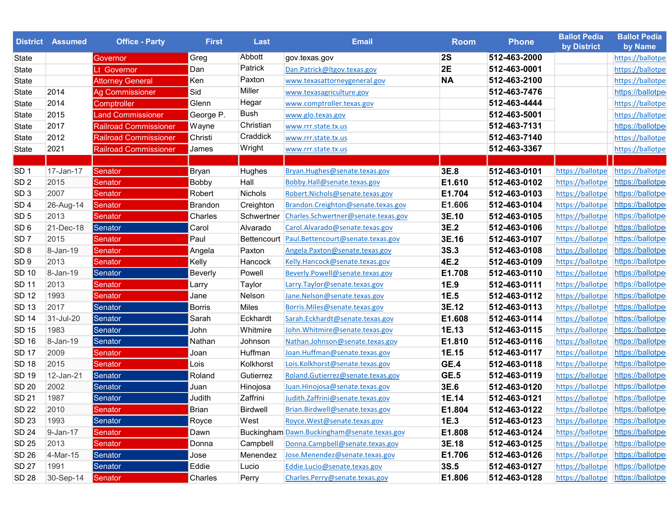|                 | <b>District Assumed</b> | <b>Office - Party</b>        | <b>First</b>   | <b>Last</b>     | <b>Email</b>                                  | <b>Room</b> | <b>Phone</b> | <b>Ballot Pedia</b><br>by District | <b>Ballot Pedia</b><br>by Name |
|-----------------|-------------------------|------------------------------|----------------|-----------------|-----------------------------------------------|-------------|--------------|------------------------------------|--------------------------------|
| State           |                         | Governor                     | Greg           | Abbott          | gov.texas.gov                                 | <b>2S</b>   | 512-463-2000 |                                    | https://ballotpe               |
| State           |                         | Lt Governor                  | Dan            | Patrick         | Dan.Patrick@ltgov.texas.gov                   | 2E          | 512-463-0001 |                                    | https://ballotpe               |
| State           |                         | <b>Attorney General</b>      | Ken            | Paxton          | www.texasattorneygeneral.gov                  | <b>NA</b>   | 512-463-2100 |                                    | https://ballotpe               |
| State           | 2014                    | Ag Commissioner              | Sid            | Miller          | www.texasagriculture.gov                      |             | 512-463-7476 |                                    | https://ballotpe               |
| State           | 2014                    | <b>Comptroller</b>           | Glenn          | Hegar           | www.comptroller.texas.gov                     |             | 512-463-4444 |                                    | https://ballotpe               |
| State           | 2015                    | <b>Land Commissioner</b>     | George P.      | <b>Bush</b>     | www.glo.texas.gov                             |             | 512-463-5001 |                                    | https://ballotpe               |
| State           | 2017                    | <b>Railroad Commissioner</b> | Wayne          | Christian       | www.rrr.state.tx.us                           |             | 512-463-7131 |                                    | https://ballotpe               |
| State           | 2012                    | <b>Railroad Commissioner</b> | Christi        | Craddick        | www.rrr.state.tx.us                           |             | 512-463-7140 |                                    | https://ballotpe               |
| State           | 2021                    | <b>Railroad Commissioner</b> | James          | Wright          | www.rrr.state.tx.us                           |             | 512-463-3367 |                                    | https://ballotpe               |
|                 |                         |                              |                |                 |                                               |             |              |                                    |                                |
| SD <sub>1</sub> | 17-Jan-17               | Senator                      | Bryan          | Hughes          | Bryan.Hughes@senate.texas.gov                 | 3E.8        | 512-463-0101 | https://ballotpe https://ballotpe  |                                |
| SD <sub>2</sub> | 2015                    | Senator                      | <b>Bobby</b>   | Hall            | Bobby.Hall@senate.texas.gov                   | E1.610      | 512-463-0102 | https://ballotpe                   | https://ballotpe               |
| SD <sub>3</sub> | 2007                    | Senator                      | Robert         | Nichols         | Robert.Nichols@senate.texas.gov               | E1.704      | 512-463-0103 | https://ballotpe                   | https://ballotpe               |
| SD <sub>4</sub> | 26-Aug-14               | Senator                      | <b>Brandon</b> | Creighton       | Brandon.Creighton@senate.texas.gov            | E1.606      | 512-463-0104 | https://ballotpe                   | https://ballotpe               |
| SD <sub>5</sub> | 2013                    | Senator                      | Charles        | Schwertner      | Charles.Schwertner@senate.texas.gov           | 3E.10       | 512-463-0105 | https://ballotpe                   | https://ballotpe               |
| SD <sub>6</sub> | 21-Dec-18               | Senator                      | Carol          | Alvarado        | Carol.Alvarado@senate.texas.gov               | 3E.2        | 512-463-0106 | https://ballotpe                   | https://ballotpe               |
| SD <sub>7</sub> | 2015                    | Senator                      | Paul           |                 | Bettencourt Paul.Bettencourt@senate.texas.gov | 3E.16       | 512-463-0107 | https://ballotpe                   | https://ballotpe               |
| SD <sub>8</sub> | 8-Jan-19                | Senator                      | Angela         | Paxton          | Angela.Paxton@senate.texas.gov                | 3S.3        | 512-463-0108 | https://ballotpe                   | https://ballotpe               |
| SD <sub>9</sub> | 2013                    | Senator                      | Kelly          | Hancock         | Kelly.Hancock@senate.texas.gov                | 4E.2        | 512-463-0109 | https://ballotpe                   | https://ballotpe               |
| <b>SD 10</b>    | 8-Jan-19                | Senator                      | <b>Beverly</b> | Powell          | Beverly.Powell@senate.texas.gov               | E1.708      | 512-463-0110 | https://ballotpe                   | https://ballotpe               |
| <b>SD 11</b>    | 2013                    | Senator                      | Larry          | Taylor          | Larry.Taylor@senate.texas.gov                 | 1E.9        | 512-463-0111 | https://ballotpe                   | https://ballotpe               |
| <b>SD 12</b>    | 1993                    | Senator                      | Jane           | Nelson          | Jane.Nelson@senate.texas.gov                  | 1E.5        | 512-463-0112 | https://ballotpe                   | https://ballotpe               |
| <b>SD 13</b>    | 2017                    | Senator                      | <b>Borris</b>  | Miles           | Borris.Miles@senate.texas.gov                 | 3E.12       | 512-463-0113 | https://ballotpe                   | https://ballotpe               |
| <b>SD 14</b>    | 31-Jul-20               | Senator                      | Sarah          | Eckhardt        | Sarah.Eckhardt@senate.texas.gov               | E1.608      | 512-463-0114 | https://ballotpe                   | https://ballotpe               |
| <b>SD 15</b>    | 1983                    | Senator                      | John           | Whitmire        | John. Whitmire@senate.texas.gov               | 1E.13       | 512-463-0115 | https://ballotpe                   | https://ballotpe               |
| <b>SD 16</b>    | 8-Jan-19                | Senator                      | Nathan         | Johnson         | Nathan.Johnson@senate.texas.gov               | E1.810      | 512-463-0116 | https://ballotpe                   | https://ballotpe               |
| <b>SD 17</b>    | 2009                    | Senator                      | Joan           | Huffman         | Joan.Huffman@senate.texas.gov                 | 1E.15       | 512-463-0117 | https://ballotpe                   | https://ballotpe               |
| <b>SD 18</b>    | 2015                    | Senator                      | Lois           | Kolkhorst       | Lois.Kolkhorst@senate.texas.gov               | GE.4        | 512-463-0118 | https://ballotpe                   | https://ballotpe               |
| <b>SD 19</b>    | 12-Jan-21               | Senator                      | Roland         | Gutierrez       | Roland.Gutierrez@senate.texas.gov             | <b>GE.5</b> | 512-463-0119 | https://ballotpe                   | https://ballotpe               |
| <b>SD 20</b>    | 2002                    | Senator                      | Juan           | Hinojosa        | Juan.Hinojosa@senate.texas.gov                | 3E.6        | 512-463-0120 | https://ballotpe                   | https://ballotpe               |
| <b>SD 21</b>    | 1987                    | Senator                      | Judith         | Zaffrini        | Judith.Zaffrini@senate.texas.gov              | 1E.14       | 512-463-0121 | https://ballotpe                   | https://ballotpe               |
| <b>SD 22</b>    | 2010                    | Senator                      | Brian          | <b>Birdwell</b> | Brian.Birdwell@senate.texas.gov               | E1.804      | 512-463-0122 | https://ballotpe https://ballotpe  |                                |
| SD 23           | 1993                    | Senator                      | Royce          | West            | Royce.West@senate.texas.gov                   | 1E.3        | 512-463-0123 | https://ballotpe https://ballotpe  |                                |
| <b>SD 24</b>    | 9-Jan-17                | Senator                      | Dawn           |                 | Buckingham Dawn.Buckingham@senate.texas.gov   | E1.808      | 512-463-0124 | https://ballotpe https://ballotpe  |                                |
| SD 25           | 2013                    | Senator                      | Donna          | Campbell        | Donna.Campbell@senate.texas.gov               | 3E.18       | 512-463-0125 | https://ballotpe https://ballotpe  |                                |
| SD 26           | 4-Mar-15                | Senator                      | Jose           | Menendez        | Jose.Menendez@senate.texas.gov                | E1.706      | 512-463-0126 | https://ballotpe                   | https://ballotpe               |
| <b>SD 27</b>    | 1991                    | Senator                      | Eddie          | Lucio           | Eddie.Lucio@senate.texas.gov                  | <b>3S.5</b> | 512-463-0127 | https://ballotpe https://ballotpe  |                                |
| SD 28           | 30-Sep-14               | Senator                      | Charles        | Perry           | Charles.Perry@senate.texas.gov                | E1.806      | 512-463-0128 | https://ballotpe https://ballotpe  |                                |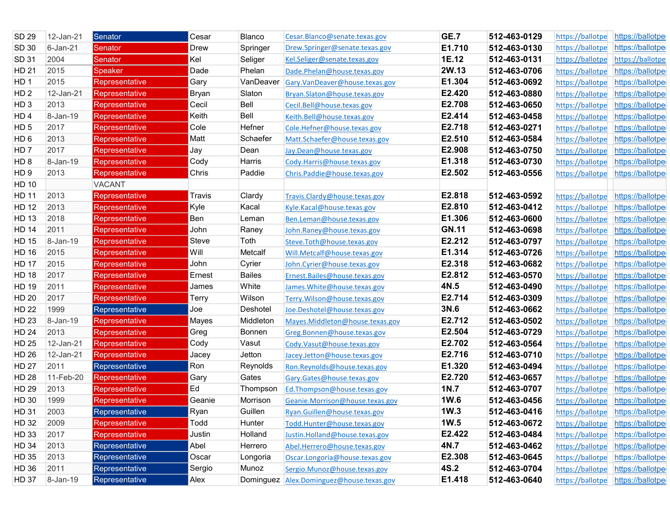| <b>SD 29</b>    | 12-Jan-21    | Senator               | Cesar  | Blanco        | Cesar.Blanco@senate.texas.gov            | <b>GE.7</b>  | 512-463-0129 | https://ballotpe | https://ballotpe                  |
|-----------------|--------------|-----------------------|--------|---------------|------------------------------------------|--------------|--------------|------------------|-----------------------------------|
| SD 30           | 6-Jan-21     | Senator               | Drew   | Springer      | Drew.Springer@senate.texas.gov           | E1.710       | 512-463-0130 | https://ballotpe | https://ballotpe                  |
| <b>SD 31</b>    | 2004         | Senator               | Kel    | Seliger       | Kel.Seliger@senate.texas.gov             | 1E.12        | 512-463-0131 | https://ballotpe | https://ballotpe                  |
| HD 21           | 2015         | Speaker               | Dade   | Phelan        | Dade.Phelan@house.texas.gov              | 2W.13        | 512-463-0706 | https://ballotpe | https://ballotpe                  |
| HD <sub>1</sub> | 2015         | Representative        | Gary   | VanDeaver     | Gary.VanDeaver@house.texas.gov           | E1.304       | 512-463-0692 | https://ballotpe | https://ballotpe                  |
| HD <sub>2</sub> | 12-Jan-21    | Representative        | Bryan  | Slaton        | Bryan.Slaton@house.texas.gov             | E2.420       | 512-463-0880 | https://ballotpe | https://ballotpe                  |
| HD <sub>3</sub> | 2013         | Representative        | Cecil  | Bell          | Cecil.Bell@house.texas.gov               | E2.708       | 512-463-0650 | https://ballotpe | https://ballotpe                  |
| HD <sub>4</sub> | 8-Jan-19     | Representative        | Keith  | Bell          | Keith.Bell@house.texas.gov               | E2.414       | 512-463-0458 | https://ballotpe | https://ballotpe                  |
| HD <sub>5</sub> | 2017         | Representative        | Cole   | Hefner        | Cole.Hefner@house.texas.gov              | E2.718       | 512-463-0271 | https://ballotpe | https://ballotpe                  |
| HD <sub>6</sub> | 2013         | Representative        | Matt   | Schaefer      | Matt.Schaefer@house.texas.gov            | E2.510       | 512-463-0584 | https://ballotpe | https://ballotpe                  |
| HD <sub>7</sub> | 2017         | Representative        | Jay    | Dean          | Jay.Dean@house.texas.gov                 | E2.908       | 512-463-0750 | https://ballotpe | https://ballotpe                  |
| HD <sub>8</sub> | $8 - Jan-19$ | Representative        | Cody   | Harris        | Cody.Harris@house.texas.gov              | E1.318       | 512-463-0730 | https://ballotpe | https://ballotpe                  |
| HD <sub>9</sub> | 2013         | Representative        | Chris  | Paddie        | Chris.Paddie@house.texas.gov             | E2.502       | 512-463-0556 | https://ballotpe | https://ballotpe                  |
| HD 10           |              | <b>VACANT</b>         |        |               |                                          |              |              |                  |                                   |
| HD 11           | 2013         | Representative        | Travis | Clardy        | Travis.Clardy@house.texas.gov            | E2.818       | 512-463-0592 | https://ballotpe | https://ballotpe                  |
| HD 12           | 2013         | Representative        | Kyle   | Kacal         | Kyle.Kacal@house.texas.gov               | E2.810       | 512-463-0412 | https://ballotpe | https://ballotpe                  |
| HD 13           | 2018         | Representative        | Ben    | Leman         | Ben.Leman@house.texas.gov                | E1.306       | 512-463-0600 | https://ballotpe | https://ballotpe                  |
| HD 14           | 2011         | Representative        | John   | Raney         | John.Raney@house.texas.gov               | <b>GN.11</b> | 512-463-0698 | https://ballotpe | https://ballotpe                  |
| HD 15           | 8-Jan-19     | Representative        | Steve  | Toth          | Steve.Toth@house.texas.gov               | E2.212       | 512-463-0797 | https://ballotpe | https://ballotpe                  |
| <b>HD 16</b>    | 2015         | Representative        | Will   | Metcalf       | Will.Metcalf@house.texas.gov             | E1.314       | 512-463-0726 | https://ballotpe | https://ballotpe                  |
| HD 17           | 2015         | Representative        | John   | Cyrier        | John.Cyrier@house.texas.gov              | E2.318       | 512-463-0682 | https://ballotpe | https://ballotpe                  |
| <b>HD 18</b>    | 2017         | Representative        | Ernest | <b>Bailes</b> | Ernest.Bailes@house.texas.gov            | E2.812       | 512-463-0570 | https://ballotpe | https://ballotpe                  |
| HD 19           | 2011         | Representative        | James  | White         | James. White@house. texas.gov            | 4N.5         | 512-463-0490 | https://ballotpe | https://ballotpe                  |
| HD 20           | 2017         | Representative        | Terry  | Wilson        | Terry. Wilson@house.texas.gov            | E2.714       | 512-463-0309 | https://ballotpe | https://ballotpe                  |
| <b>HD 22</b>    | 1999         | Representative        | Joe    | Deshotel      | Joe.Deshotel@house.texas.gov             | 3N.6         | 512-463-0662 | https://ballotpe | https://ballotpe                  |
| HD 23           | 8-Jan-19     | Representative        | Mayes  | Middleton     | Mayes.Middleton@house.texas.gov          | E2.712       | 512-463-0502 | https://ballotpe | https://ballotpe                  |
| <b>HD 24</b>    | 2013         | Representative        | Greg   | Bonnen        | Greg.Bonnen@house.texas.gov              | E2.504       | 512-463-0729 | https://ballotpe | https://ballotpe                  |
| HD 25           | 12-Jan-21    | Representative        | Cody   | Vasut         | Cody.Vasut@house.texas.gov               | E2.702       | 512-463-0564 | https://ballotpe | https://ballotpe                  |
| HD 26           | 12-Jan-21    | Representative        | Jacey  | Jetton        | Jacey.Jetton@house.texas.gov             | E2.716       | 512-463-0710 | https://ballotpe | https://ballotpe                  |
| <b>HD 27</b>    | 2011         | <b>Representative</b> | Ron    | Reynolds      | Ron.Reynolds@house.texas.gov             | E1.320       | 512-463-0494 | https://ballotpe | https://ballotpe                  |
| HD 28           | 11-Feb-20    | Representative        | Gary   | Gates         | Gary.Gates@house.texas.gov               | E2.720       | 512-463-0657 | https://ballotpe | https://ballotpe                  |
| HD 29           | 2013         | Representative        | Ed     | Thompson      | Ed.Thompson@house.texas.gov              | 1N.7         | 512-463-0707 | https://ballotpe | https://ballotpe                  |
| HD 30           | 1999         | Representative        | Geanie | Morrison      | Geanie.Morrison@house.texas.gov          | 1W.6         | 512-463-0456 | https://ballotpe | https://ballotpe                  |
| HD 31           | 2003         | Representative        | Ryan   | Guillen       | Ryan.Guillen@house.texas.gov             | 1W.3         | 512-463-0416 | https://ballotpe | https://ballotpe                  |
| HD 32           | 2009         | Representative        | Todd   | Hunter        | Todd.Hunter@house.texas.gov              | 1W.5         | 512-463-0672 | https://ballotpe | https://ballotpe                  |
| HD 33           | 2017         | <b>Representative</b> | Justin | Holland       | Justin.Holland@house.texas.gov           | E2.422       | 512-463-0484 | https://ballotpe | https://ballotpe                  |
| HD 34           | 2013         | Representative        | Abel   | Herrero       | Abel.Herrero@house.texas.gov             | 4N.7         | 512-463-0462 | https://ballotpe | https://ballotpe                  |
| HD 35           | 2013         | Representative        | Oscar  | Longoria      | Oscar.Longoria@house.texas.gov           | E2.308       | 512-463-0645 | https://ballotpe | https://ballotpe                  |
| HD 36           | 2011         | Representative        | Sergio | Munoz         | Sergio.Munoz@house.texas.gov             | <b>4S.2</b>  | 512-463-0704 | https://ballotpe | https://ballotpe                  |
| HD 37           | 8-Jan-19     | Representative        | Alex   |               | Dominguez Alex.Dominguez@house.texas.gov | E1.418       | 512-463-0640 |                  | https://ballotpe https://ballotpe |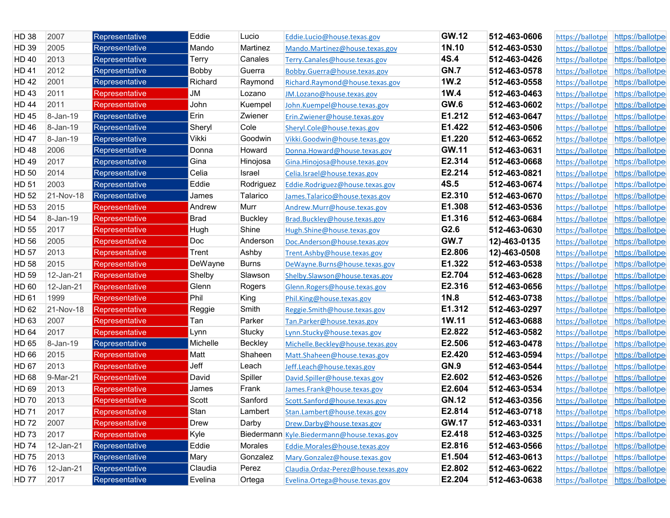| <b>HD 38</b> | 2007      | Representative        | Eddie        | Lucio          | Eddie.Lucio@house.texas.gov                | <b>GW.12</b> | 512-463-0606 | https://ballotpe | https://ballotpe |
|--------------|-----------|-----------------------|--------------|----------------|--------------------------------------------|--------------|--------------|------------------|------------------|
| HD 39        | 2005      | Representative        | Mando        | Martinez       | Mando.Martinez@house.texas.gov             | 1N.10        | 512-463-0530 | https://ballotpe | https://ballotpe |
| <b>HD 40</b> | 2013      | Representative        | Terry        | Canales        | Terry.Canales@house.texas.gov              | 4S.4         | 512-463-0426 | https://ballotpe | https://ballotpe |
| <b>HD 41</b> | 2012      | Representative        | <b>Bobby</b> | Guerra         | Bobby.Guerra@house.texas.gov               | <b>GN.7</b>  | 512-463-0578 | https://ballotpe | https://ballotpe |
| <b>HD42</b>  | 2001      | Representative        | Richard      | Raymond        | Richard.Raymond@house.texas.gov            | 1W.2         | 512-463-0558 | https://ballotpe | https://ballotpe |
| HD 43        | 2011      | Representative        | JM           | Lozano         | JM.Lozano@house.texas.gov                  | 1W.4         | 512-463-0463 | https://ballotpe | https://ballotpe |
| <b>HD 44</b> | 2011      | Representative        | John         | Kuempel        | John.Kuempel@house.texas.gov               | GW.6         | 512-463-0602 | https://ballotpe | https://ballotpe |
| <b>HD45</b>  | 8-Jan-19  | Representative        | Erin         | Zwiener        | Erin.Zwiener@house.texas.gov               | E1.212       | 512-463-0647 | https://ballotpe | https://ballotpe |
| <b>HD 46</b> | 8-Jan-19  | Representative        | Sheryl       | Cole           | Sheryl.Cole@house.texas.gov                | E1.422       | 512-463-0506 | https://ballotpe | https://ballotpe |
| <b>HD47</b>  | 8-Jan-19  | Representative        | Vikki        | Goodwin        | Vikki.Goodwin@house.texas.gov              | E1.220       | 512-463-0652 | https://ballotpe | https://ballotpe |
| <b>HD48</b>  | 2006      | Representative        | Donna        | Howard         | Donna.Howard@house.texas.gov               | <b>GW.11</b> | 512-463-0631 | https://ballotpe | https://ballotpe |
| HD 49        | 2017      | Representative        | Gina         | Hinojosa       | Gina.Hinojosa@house.texas.gov              | E2.314       | 512-463-0668 | https://ballotpe | https://ballotpe |
| HD 50        | 2014      | Representative        | Celia        | Israel         | Celia.Israel@house.texas.gov               | E2.214       | 512-463-0821 | https://ballotpe | https://ballotpe |
| HD 51        | 2003      | Representative        | Eddie        | Rodriguez      | Eddie.Rodriguez@house.texas.gov            | 4S.5         | 512-463-0674 | https://ballotpe | https://ballotpe |
| HD 52        | 21-Nov-18 | Representative        | James        | Talarico       | James.Talarico@house.texas.gov             | E2.310       | 512-463-0670 | https://ballotpe | https://ballotpe |
| HD 53        | 2015      | Representative        | Andrew       | Murr           | Andrew.Murr@house.texas.gov                | E1.308       | 512-463-0536 | https://ballotpe | https://ballotpe |
| <b>HD 54</b> | 8-Jan-19  | Representative        | Brad         | <b>Buckley</b> | Brad.Buckley@house.texas.gov               | E1.316       | 512-463-0684 | https://ballotpe | https://ballotpe |
| HD 55        | 2017      | Representative        | Hugh         | Shine          | Hugh.Shine@house.texas.gov                 | G2.6         | 512-463-0630 | https://ballotpe | https://ballotpe |
| HD 56        | 2005      | Representative        | Doc          | Anderson       | Doc.Anderson@house.texas.gov               | <b>GW.7</b>  | 12)-463-0135 | https://ballotpe | https://ballotpe |
| <b>HD 57</b> | 2013      | Representative        | Trent        | Ashby          | Trent.Ashby@house.texas.gov                | E2.806       | 12)-463-0508 | https://ballotpe | https://ballotpe |
| <b>HD 58</b> | 2015      | Representative        | DeWayne      | <b>Burns</b>   | DeWayne.Burns@house.texas.gov              | E1.322       | 512-463-0538 | https://ballotpe | https://ballotpe |
| HD 59        | 12-Jan-21 | <b>Representative</b> | Shelby       | Slawson        | Shelby.Slawson@house.texas.gov             | E2.704       | 512-463-0628 | https://ballotpe | https://ballotpe |
| HD 60        | 12-Jan-21 | Representative        | Glenn        | Rogers         | Glenn.Rogers@house.texas.gov               | E2.316       | 512-463-0656 | https://ballotpe | https://ballotpe |
| HD 61        | 1999      | Representative        | Phil         | King           | Phil.King@house.texas.gov                  | 1N.8         | 512-463-0738 | https://ballotpe | https://ballotpe |
| HD 62        | 21-Nov-18 | Representative        | Reggie       | Smith          | Reggie.Smith@house.texas.gov               | E1.312       | 512-463-0297 | https://ballotpe | https://ballotpe |
| HD 63        | 2007      | Representative        | Tan          | Parker         | Tan.Parker@house.texas.gov                 | 1W.11        | 512-463-0688 | https://ballotpe | https://ballotpe |
| <b>HD 64</b> | 2017      | Representative        | Lynn         | Stucky         | Lynn.Stucky@house.texas.gov                | E2.822       | 512-463-0582 | https://ballotpe | https://ballotpe |
| HD 65        | 8-Jan-19  | Representative        | Michelle     | Beckley        | Michelle.Beckley@house.texas.gov           | E2.506       | 512-463-0478 | https://ballotpe | https://ballotpe |
| HD 66        | 2015      | Representative        | Matt         | Shaheen        | Matt.Shaheen@house.texas.gov               | E2.420       | 512-463-0594 | https://ballotpe | https://ballotpe |
| <b>HD 67</b> | 2013      | Representative        | Jeff         | Leach          | Jeff.Leach@house.texas.gov                 | <b>GN.9</b>  | 512-463-0544 | https://ballotpe | https://ballotpe |
| HD 68        | 9-Mar-21  | Representative        | David        | Spiller        | David.Spiller@house.texas.gov              | E2.602       | 512-463-0526 | https://ballotpe | https://ballotpe |
| HD 69        | 2013      | Representative        | James        | Frank          | James.Frank@house.texas.gov                | E2.604       | 512-463-0534 | https://ballotpe | https://ballotpe |
| <b>HD 70</b> | 2013      | Representative        | Scott        | Sanford        | Scott.Sanford@house.texas.gov              | <b>GN.12</b> | 512-463-0356 | https://ballotpe | https://ballotpe |
| HD 71        | 2017      | Representative        | Stan         | Lambert        | Stan.Lambert@house.texas.gov               | E2.814       | 512-463-0718 | https://ballotpe | https://ballotpe |
| HD 72        | 2007      | Representative        | Drew         | Darby          | Drew.Darby@house.texas.gov                 | <b>GW.17</b> | 512-463-0331 | https://ballotpe | https://ballotpe |
| HD 73        | 2017      | Representative        | Kyle         |                | Biedermann Kyle.Biedermann@house.texas.gov | E2.418       | 512-463-0325 | https://ballotpe | https://ballotpe |
| <b>HD 74</b> | 12-Jan-21 | Representative        | Eddie        | Morales        | Eddie.Morales@house.texas.gov              | E2.816       | 512-463-0566 | https://ballotpe | https://ballotpe |
| HD 75        | 2013      | Representative        | Mary         | Gonzalez       | Mary.Gonzalez@house.texas.gov              | E1.504       | 512-463-0613 | https://ballotpe | https://ballotpe |
| <b>HD 76</b> | 12-Jan-21 | Representative        | Claudia      | Perez          | Claudia.Ordaz-Perez@house.texas.gov        | E2.802       | 512-463-0622 | https://ballotpe | https://ballotpe |
| <b>HD 77</b> | 2017      | Representative        | Evelina      | Ortega         | Evelina.Ortega@house.texas.gov             | E2.204       | 512-463-0638 | https://ballotpe | https://ballotpe |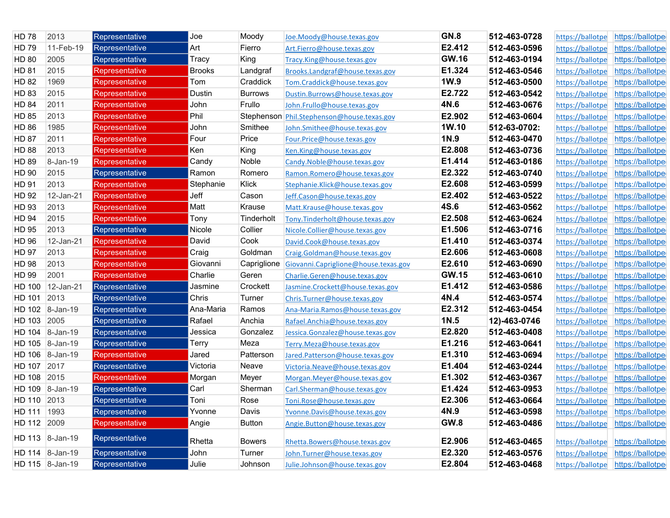| <b>HD 78</b>  | 2013            | Representative | Joe           | Moody          | Joe.Moody@house.texas.gov            | <b>GN.8</b>  | 512-463-0728 | https://ballotpe | https://ballotpe |
|---------------|-----------------|----------------|---------------|----------------|--------------------------------------|--------------|--------------|------------------|------------------|
| HD 79         | 11-Feb-19       | Representative | Art           | Fierro         | Art.Fierro@house.texas.gov           | E2.412       | 512-463-0596 | https://ballotpe | https://ballotpe |
| HD 80         | 2005            | Representative | Tracy         | King           | Tracy.King@house.texas.gov           | <b>GW.16</b> | 512-463-0194 | https://ballotpe | https://ballotpe |
| <b>HD 81</b>  | 2015            | Representative | <b>Brooks</b> | Landgraf       | Brooks.Landgraf@house.texas.gov      | E1.324       | 512-463-0546 | https://ballotpe | https://ballotpe |
| <b>HD 82</b>  | 1969            | Representative | Tom           | Craddick       | Tom.Craddick@house.texas.gov         | 1W.9         | 512-463-0500 | https://ballotpe | https://ballotpe |
| <b>HD 83</b>  | 2015            | Representative | Dustin        | <b>Burrows</b> | Dustin.Burrows@house.texas.gov       | E2.722       | 512-463-0542 | https://ballotpe | https://ballotpe |
| <b>HD 84</b>  | 2011            | Representative | John          | Frullo         | John.Frullo@house.texas.gov          | 4N.6         | 512-463-0676 | https://ballotpe | https://ballotpe |
| <b>HD 85</b>  | 2013            | Representative | Phil          | Stephenson     | Phil.Stephenson@house.texas.gov      | E2.902       | 512-463-0604 | https://ballotpe | https://ballotpe |
| <b>HD 86</b>  | 1985            | Representative | John          | Smithee        | John.Smithee@house.texas.gov         | 1W.10        | 512-63-0702: | https://ballotpe | https://ballotpe |
| <b>HD 87</b>  | 2011            | Representative | Four          | Price          | Four.Price@house.texas.gov           | 1N.9         | 512-463-0470 | https://ballotpe | https://ballotpe |
| <b>HD 88</b>  | 2013            | Representative | Ken           | King           | Ken.King@house.texas.gov             | E2.808       | 512-463-0736 | https://ballotpe | https://ballotpe |
| <b>HD 89</b>  | 8-Jan-19        | Representative | Candy         | Noble          | Candy.Noble@house.texas.gov          | E1.414       | 512-463-0186 | https://ballotpe | https://ballotpe |
| HD 90         | 2015            | Representative | Ramon         | Romero         | Ramon.Romero@house.texas.gov         | E2.322       | 512-463-0740 | https://ballotpe | https://ballotpe |
| HD 91         | 2013            | Representative | Stephanie     | Klick          | Stephanie.Klick@house.texas.gov      | E2.608       | 512-463-0599 | https://ballotpe | https://ballotpe |
| HD 92         | 12-Jan-21       | Representative | Jeff          | Cason          | Jeff.Cason@house.texas.gov           | E2.402       | 512-463-0522 | https://ballotpe | https://ballotpe |
| HD 93         | 2013            | Representative | Matt          | Krause         | Matt.Krause@house.texas.gov          | <b>4S.6</b>  | 512-463-0562 | https://ballotpe | https://ballotpe |
| <b>HD 94</b>  | 2015            | Representative | Tony          | Tinderholt     | Tony.Tinderholt@house.texas.gov      | E2.508       | 512-463-0624 | https://ballotpe | https://ballotpe |
| <b>HD 95</b>  | 2013            | Representative | Nicole        | Collier        | Nicole.Collier@house.texas.gov       | E1.506       | 512-463-0716 | https://ballotpe | https://ballotpe |
| <b>HD 96</b>  | 12-Jan-21       | Representative | David         | Cook           | David.Cook@house.texas.gov           | E1.410       | 512-463-0374 | https://ballotpe | https://ballotpe |
| <b>HD 97</b>  | 2013            | Representative | Craig         | Goldman        | Craig.Goldman@house.texas.gov        | E2.606       | 512-463-0608 | https://ballotpe | https://ballotpe |
| <b>HD 98</b>  | 2013            | Representative | Giovanni      | Capriglione    | Giovanni.Capriglione@house.texas.gov | E2.610       | 512-463-0690 | https://ballotpe | https://ballotpe |
| <b>HD 99</b>  | 2001            | Representative | Charlie       | Geren          | Charlie.Geren@house.texas.gov        | <b>GW.15</b> | 512-463-0610 | https://ballotpe | https://ballotpe |
| HD 100        | 12-Jan-21       | Representative | Jasmine       | Crockett       | Jasmine.Crockett@house.texas.gov     | E1.412       | 512-463-0586 | https://ballotpe | https://ballotpe |
| HD 101        | 2013            | Representative | Chris         | Turner         | Chris.Turner@house.texas.gov         | 4N.4         | 512-463-0574 | https://ballotpe | https://ballotpe |
|               | HD 102 8-Jan-19 | Representative | Ana-Maria     | Ramos          | Ana-Maria.Ramos@house.texas.gov      | E2.312       | 512-463-0454 | https://ballotpe | https://ballotpe |
| HD 103 2005   |                 | Representative | Rafael        | Anchia         | Rafael.Anchia@house.texas.gov        | 1N.5         | 12)-463-0746 | https://ballotpe | https://ballotpe |
|               | HD 104 8-Jan-19 | Representative | Jessica       | Gonzalez       | Jessica.Gonzalez@house.texas.gov     | E2.820       | 512-463-0408 | https://ballotpe | https://ballotpe |
|               | HD 105 8-Jan-19 | Representative | Terry         | Meza           | Terry.Meza@house.texas.gov           | E1.216       | 512-463-0641 | https://ballotpe | https://ballotpe |
| HD 106        | 8-Jan-19        | Representative | Jared         | Patterson      | Jared.Patterson@house.texas.gov      | E1.310       | 512-463-0694 | https://ballotpe | https://ballotpe |
| HD 107        | 2017            | Representative | Victoria      | Neave          | Victoria.Neave@house.texas.gov       | E1.404       | 512-463-0244 | https://ballotpe | https://ballotpe |
| HD 108 2015   |                 | Representative | Morgan        | Meyer          | Morgan.Meyer@house.texas.gov         | E1.302       | 512-463-0367 | https://ballotpe | https://ballotpe |
|               | HD 109 8-Jan-19 | Representative | Carl          | Sherman        | Carl.Sherman@house.texas.gov         | E1.424       | 512-463-0953 | https://ballotpe | https://ballotpe |
| <b>HD 110</b> | 2013            | Representative | Toni          | Rose           | Toni.Rose@house.texas.gov            | E2.306       | 512-463-0664 | https://ballotpe | https://ballotpe |
| HD 111 1993   |                 | Representative | Yvonne        | Davis          | Yvonne.Davis@house.texas.gov         | 4N.9         | 512-463-0598 | https://ballotpe | https://ballotpe |
| HD 112 2009   |                 | Representative | Angie         | <b>Button</b>  | Angie.Button@house.texas.gov         | GW.8         | 512-463-0486 | https://ballotpe | https://ballotpe |
|               | HD 113 8-Jan-19 | Representative | Rhetta        | Bowers         | Rhetta.Bowers@house.texas.gov        | E2.906       | 512-463-0465 | https://ballotpe | https://ballotpe |
|               | HD 114 8-Jan-19 | Representative | John          | Turner         | John.Turner@house.texas.gov          | E2.320       | 512-463-0576 | https://ballotpe | https://ballotpe |
|               | HD 115 8-Jan-19 | Representative | Julie         | Johnson        | Julie.Johnson@house.texas.gov        | E2.804       | 512-463-0468 | https://ballotpe | https://ballotpe |
|               |                 |                |               |                |                                      |              |              |                  |                  |